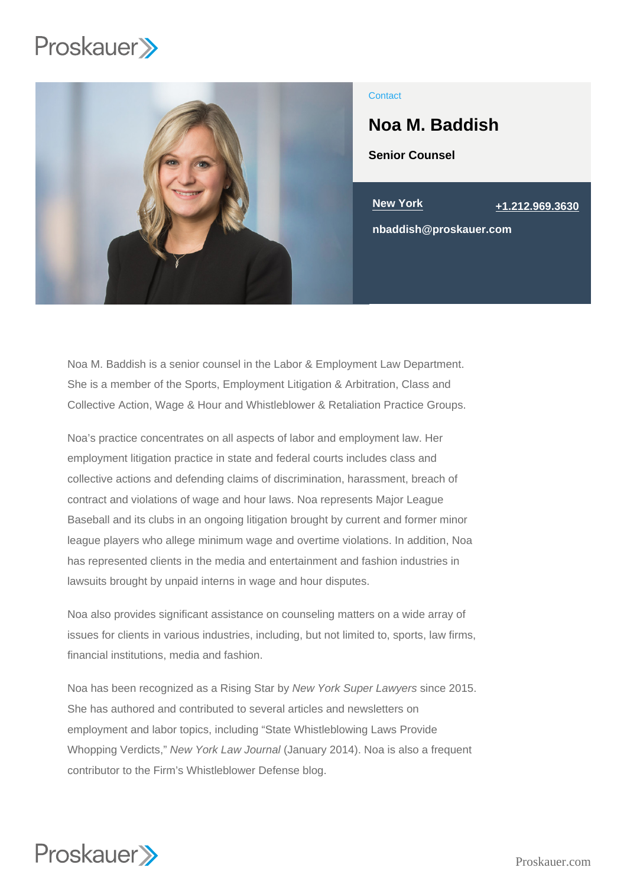

### **Contact**

# Noa M. Baddish

Senior Counsel

New York [+1.212.969.3630](tel:+1.212.969.3630)

nbaddish@proskauer.com

Noa M. Baddish is a senior counsel in the Labor & Employment Law Department. She is a member of the Sports, Employment Litigation & Arbitration, Class and Collective Action, Wage & Hour and Whistleblower & Retaliation Practice Groups.

Noa's practice concentrates on all aspects of labor and employment law. Her employment litigation practice in state and federal courts includes class and collective actions and defending claims of discrimination, harassment, breach of contract and violations of wage and hour laws. Noa represents Major League Baseball and its clubs in an ongoing litigation brought by current and former minor league players who allege minimum wage and overtime violations. In addition, Noa has represented clients in the media and entertainment and fashion industries in lawsuits brought by unpaid interns in wage and hour disputes.

Noa also provides significant assistance on counseling matters on a wide array of issues for clients in various industries, including, but not limited to, sports, law firms, financial institutions, media and fashion.

Noa has been recognized as a Rising Star by New York Super Lawyers since 2015. She has authored and contributed to several articles and newsletters on employment and labor topics, including "State Whistleblowing Laws Provide Whopping Verdicts," New York Law Journal (January 2014). Noa is also a frequent contributor to the Firm's Whistleblower Defense blog.

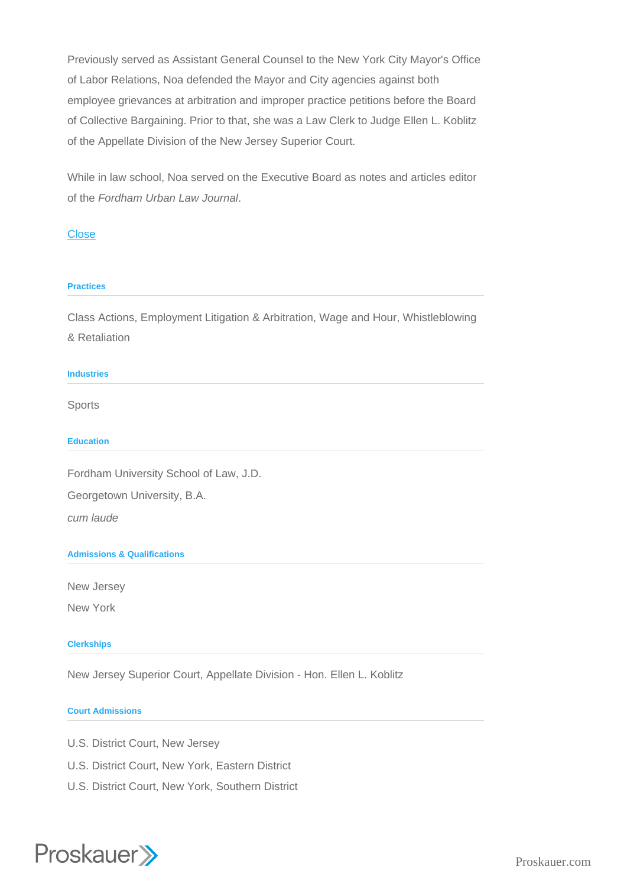Previously served as Assistant General Counsel to the New York City Mayor's Office of Labor Relations, Noa defended the Mayor and City agencies against both employee grievances at arbitration and improper practice petitions before the Board of Collective Bargaining. Prior to that, she was a Law Clerk to Judge Ellen L. Koblitz of the Appellate Division of the New Jersey Superior Court.

While in law school, Noa served on the Executive Board as notes and articles editor of the Fordham Urban Law Journal.

## **Close**

#### **Practices**

Class Actions, Employment Litigation & Arbitration, Wage and Hour, Whistleblowing & Retaliation

#### Industries

Sports

**Education** 

Fordham University School of Law, J.D.

Georgetown University, B.A.

cum laude

Admissions & Qualifications

New Jersey New York

**Clerkships** 

New Jersey Superior Court, Appellate Division - Hon. Ellen L. Koblitz

#### Court Admissions

- U.S. District Court, New Jersey
- U.S. District Court, New York, Eastern District
- U.S. District Court, New York, Southern District